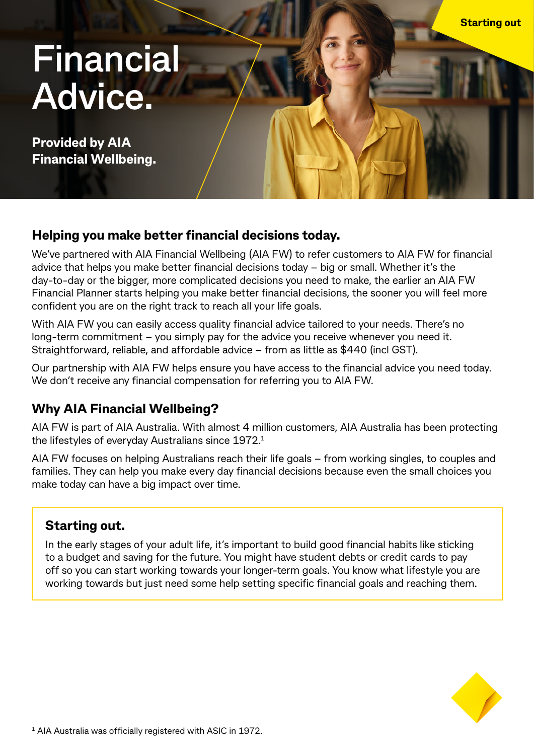# **Financial Advice.**

**Provided by AIA Financial Wellbeing.**

## **Helping you make better financial decisions today.**

We've partnered with AIA Financial Wellbeing (AIA FW) to refer customers to AIA FW for financial advice that helps you make better financial decisions today – big or small. Whether it's the day-to-day or the bigger, more complicated decisions you need to make, the earlier an AIA FW Financial Planner starts helping you make better financial decisions, the sooner you will feel more confident you are on the right track to reach all your life goals.

With AIA FW you can easily access quality financial advice tailored to your needs. There's no long-term commitment – you simply pay for the advice you receive whenever you need it. Straightforward, reliable, and affordable advice – from as little as \$440 (incl GST).

Our partnership with AIA FW helps ensure you have access to the financial advice you need today. We don't receive any financial compensation for referring you to AIA FW.

## **Why AIA Financial Wellbeing?**

AIA FW is part of AIA Australia. With almost 4 million customers, AIA Australia has been protecting the lifestyles of everyday Australians since 1972.1

AIA FW focuses on helping Australians reach their life goals – from working singles, to couples and families. They can help you make every day financial decisions because even the small choices you make today can have a big impact over time.

## **Starting out.**

In the early stages of your adult life, it's important to build good financial habits like sticking to a budget and saving for the future. You might have student debts or credit cards to pay off so you can start working towards your longer-term goals. You know what lifestyle you are working towards but just need some help setting specific financial goals and reaching them.



**Starting out**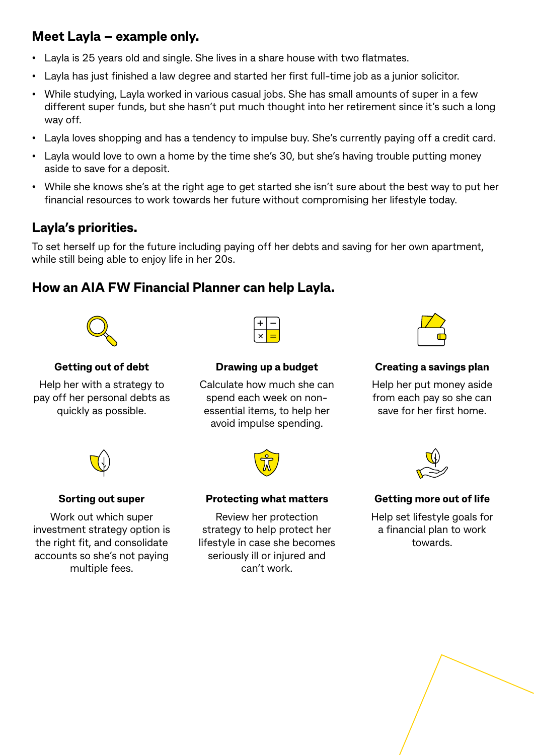## **Meet Layla – example only.**

- Layla is 25 years old and single. She lives in a share house with two flatmates.
- Layla has just finished a law degree and started her first full-time job as a junior solicitor.
- While studying, Layla worked in various casual jobs. She has small amounts of super in a few different super funds, but she hasn't put much thought into her retirement since it's such a long way off.
- Layla loves shopping and has a tendency to impulse buy. She's currently paying off a credit card.
- Layla would love to own a home by the time she's 30, but she's having trouble putting money aside to save for a deposit.
- While she knows she's at the right age to get started she isn't sure about the best way to put her financial resources to work towards her future without compromising her lifestyle today.

## **Layla's priorities.**

To set herself up for the future including paying off her debts and saving for her own apartment, while still being able to enjoy life in her 20s.

## **How an AIA FW Financial Planner can help Layla.**



#### **Getting out of debt**

Help her with a strategy to pay off her personal debts as quickly as possible.



#### **Drawing up a budget**

Calculate how much she can spend each week on nonessential items, to help her avoid impulse spending.



### **Creating a savings plan**

Help her put money aside from each pay so she can save for her first home.



## **Sorting out super**

Work out which super investment strategy option is the right fit, and consolidate accounts so she's not paying multiple fees.



#### **Protecting what matters**

Review her protection strategy to help protect her lifestyle in case she becomes seriously ill or injured and can't work.



#### **Getting more out of life**

Help set lifestyle goals for a financial plan to work towards.